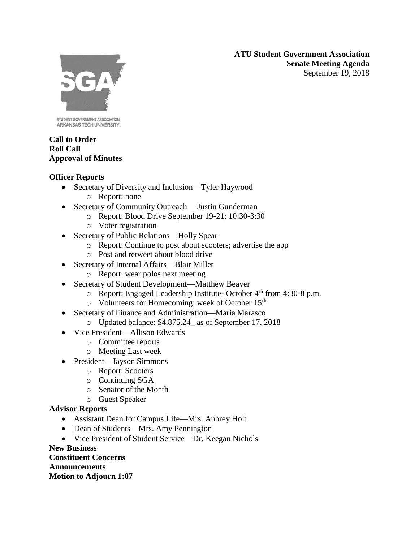**ATU Student Government Association Senate Meeting Agenda** September 19, 2018



STUDENT GOVERNMENT ASSOCIATION ARKANSAS TECH UNIVERSITY.

### **Call to Order Roll Call Approval of Minutes**

## **Officer Reports**

- Secretary of Diversity and Inclusion—Tyler Haywood
	- o Report: none
- Secretary of Community Outreach— Justin Gunderman
	- o Report: Blood Drive September 19-21; 10:30-3:30
	- o Voter registration
- Secretary of Public Relations—Holly Spear
	- o Report: Continue to post about scooters; advertise the app
	- o Post and retweet about blood drive
- Secretary of Internal Affairs—Blair Miller
	- o Report: wear polos next meeting
- Secretary of Student Development—Matthew Beaver
	- o Report: Engaged Leadership Institute- October 4th from 4:30-8 p.m.
	- o Volunteers for Homecoming; week of October 15th
- Secretary of Finance and Administration—Maria Marasco
	- o Updated balance: \$4,875.24\_ as of September 17, 2018
- Vice President—Allison Edwards
	- o Committee reports
	- o Meeting Last week
- President—Jayson Simmons
	- o Report: Scooters
	- o Continuing SGA
	- o Senator of the Month
	- o Guest Speaker

# **Advisor Reports**

- Assistant Dean for Campus Life—Mrs. Aubrey Holt
- Dean of Students—Mrs. Amy Pennington
- Vice President of Student Service—Dr. Keegan Nichols

**New Business**

**Constituent Concerns Announcements Motion to Adjourn 1:07**